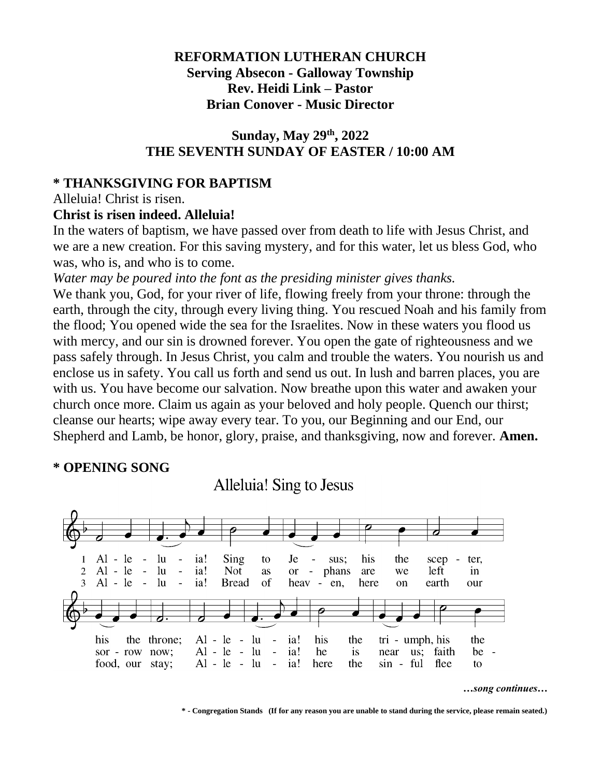### **REFORMATION LUTHERAN CHURCH Serving Absecon - Galloway Township Rev. Heidi Link – Pastor Brian Conover - Music Director**

### **Sunday, May 29 th, 2022 THE SEVENTH SUNDAY OF EASTER / 10:00 AM**

### **\* THANKSGIVING FOR BAPTISM**

Alleluia! Christ is risen.

### **Christ is risen indeed. Alleluia!**

In the waters of baptism, we have passed over from death to life with Jesus Christ, and we are a new creation. For this saving mystery, and for this water, let us bless God, who was, who is, and who is to come.

*Water may be poured into the font as the presiding minister gives thanks.*

We thank you, God, for your river of life, flowing freely from your throne: through the earth, through the city, through every living thing. You rescued Noah and his family from the flood; You opened wide the sea for the Israelites. Now in these waters you flood us with mercy, and our sin is drowned forever. You open the gate of righteousness and we pass safely through. In Jesus Christ, you calm and trouble the waters. You nourish us and enclose us in safety. You call us forth and send us out. In lush and barren places, you are with us. You have become our salvation. Now breathe upon this water and awaken your church once more. Claim us again as your beloved and holy people. Quench our thirst; cleanse our hearts; wipe away every tear. To you, our Beginning and our End, our Shepherd and Lamb, be honor, glory, praise, and thanksgiving, now and forever. **Amen.**

## **\* OPENING SONG**

Alleluia! Sing to Jesus



*…song continues…*

**\* - Congregation Stands (If for any reason you are unable to stand during the service, please remain seated.)**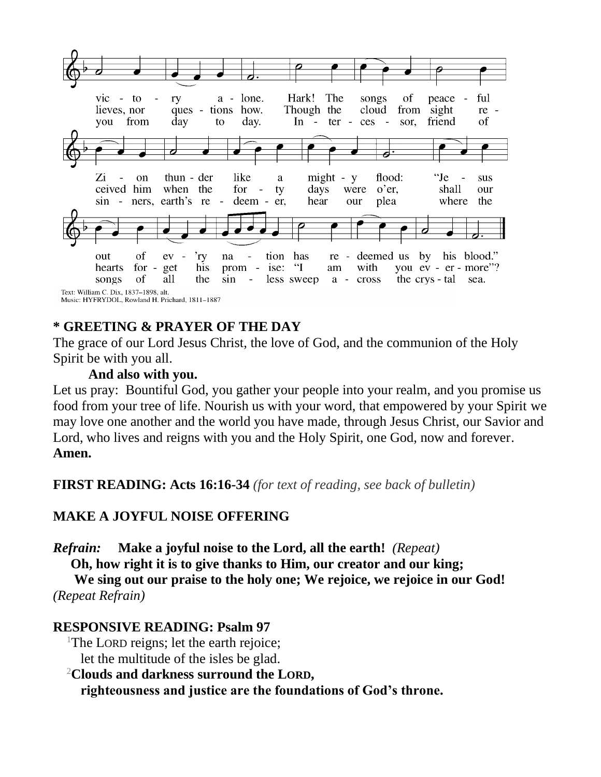

## **\* GREETING & PRAYER OF THE DAY**

The grace of our Lord Jesus Christ, the love of God, and the communion of the Holy Spirit be with you all.

#### **And also with you.**

Let us pray: Bountiful God, you gather your people into your realm, and you promise us food from your tree of life. Nourish us with your word, that empowered by your Spirit we may love one another and the world you have made, through Jesus Christ, our Savior and Lord, who lives and reigns with you and the Holy Spirit, one God, now and forever. **Amen.**

**FIRST READING: Acts 16:16-34** *(for text of reading, see back of bulletin)*

## **MAKE A JOYFUL NOISE OFFERING**

*Refrain:* **Make a joyful noise to the Lord, all the earth!** *(Repeat)*

**Oh, how right it is to give thanks to Him, our creator and our king;**

**We sing out our praise to the holy one; We rejoice, we rejoice in our God!** *(Repeat Refrain)*

#### **RESPONSIVE READING: Psalm 97**

<sup>1</sup>The LORD reigns; let the earth rejoice; let the multitude of the isles be glad.

<sup>2</sup>**Clouds and darkness surround the LORD,**

**righteousness and justice are the foundations of God's throne.**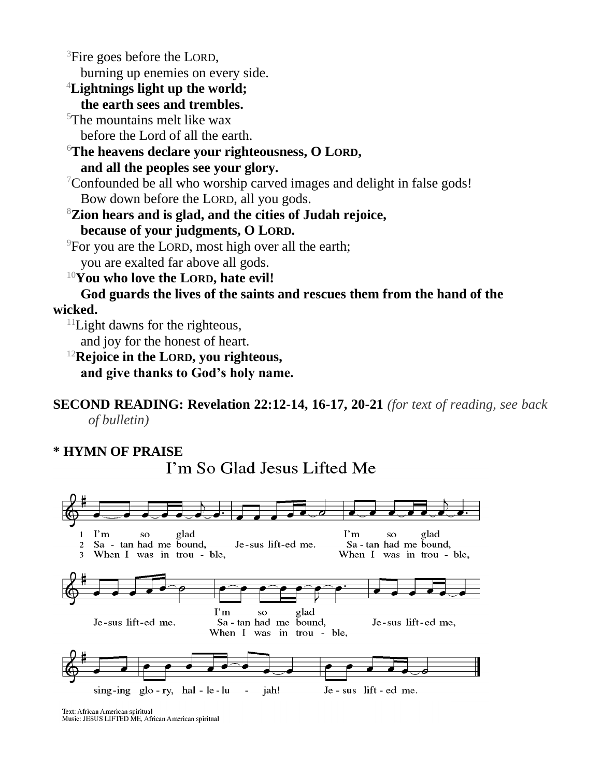<sup>3</sup>Fire goes before the LORD, burning up enemies on every side. <sup>4</sup>**Lightnings light up the world; the earth sees and trembles.**  $5$ The mountains melt like wax before the Lord of all the earth. <sup>6</sup>**The heavens declare your righteousness, O LORD, and all the peoples see your glory.** <sup>7</sup>Confounded be all who worship carved images and delight in false gods! Bow down before the LORD, all you gods. <sup>8</sup>**Zion hears and is glad, and the cities of Judah rejoice, because of your judgments, O LORD.** <sup>9</sup>For you are the LORD, most high over all the earth; you are exalted far above all gods. <sup>10</sup>**You who love the LORD, hate evil! God guards the lives of the saints and rescues them from the hand of the wicked.**  $11$ Light dawns for the righteous, and joy for the honest of heart. <sup>12</sup>**Rejoice in the LORD, you righteous,**

**and give thanks to God's holy name.**

**SECOND READING: Revelation 22:12-14, 16-17, 20-21** *(for text of reading, see back of bulletin)*

#### **\* HYMN OF PRAISE**



I'm So Glad Jesus Lifted Me

Text: African American spiritual<br>Music: JESUS LIFTED ME, African American spiritual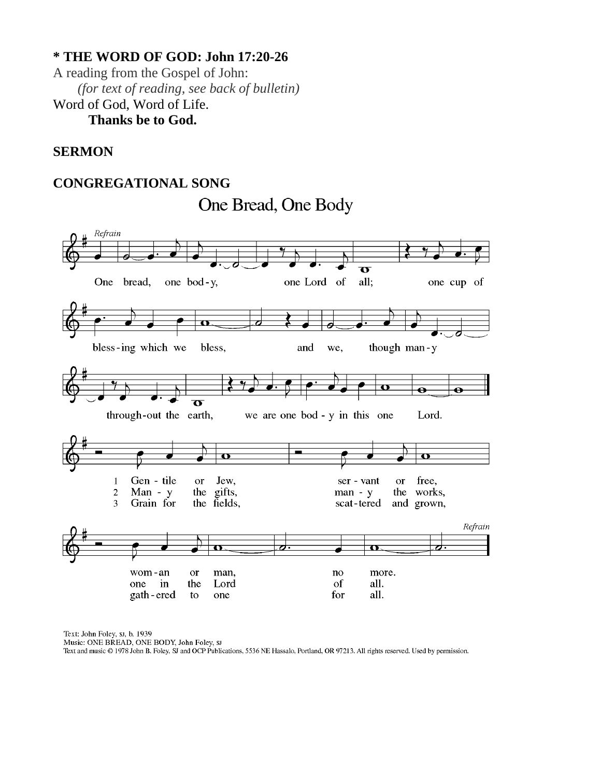## **\* THE WORD OF GOD: John 17:20-26**

A reading from the Gospel of John: *(for text of reading, see back of bulletin)* Word of God, Word of Life. **Thanks be to God.**

#### **SERMON**

#### **CONGREGATIONAL SONG**

One Bread, One Body



Text: John Foley, sı, b. 1939

Music: ONE BREAD, ONE BODY, John Foley, sr

Text and music © 1978 John B. Foley, SJ and OCP Publications, 5536 NE Hassalo, Portland, OR 97213. All rights reserved. Used by permission.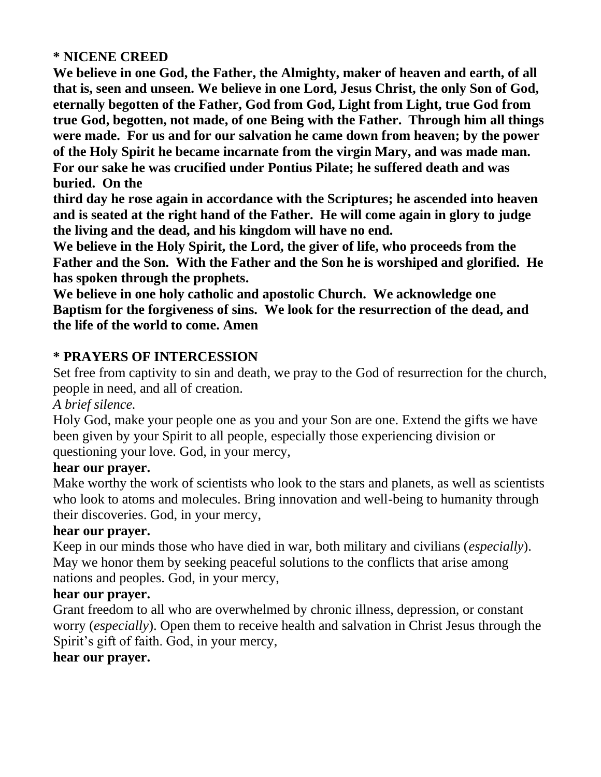### **\* NICENE CREED**

**We believe in one God, the Father, the Almighty, maker of heaven and earth, of all that is, seen and unseen. We believe in one Lord, Jesus Christ, the only Son of God, eternally begotten of the Father, God from God, Light from Light, true God from true God, begotten, not made, of one Being with the Father. Through him all things were made. For us and for our salvation he came down from heaven; by the power of the Holy Spirit he became incarnate from the virgin Mary, and was made man. For our sake he was crucified under Pontius Pilate; he suffered death and was buried. On the** 

**third day he rose again in accordance with the Scriptures; he ascended into heaven and is seated at the right hand of the Father. He will come again in glory to judge the living and the dead, and his kingdom will have no end.**

**We believe in the Holy Spirit, the Lord, the giver of life, who proceeds from the Father and the Son. With the Father and the Son he is worshiped and glorified. He has spoken through the prophets.** 

**We believe in one holy catholic and apostolic Church. We acknowledge one Baptism for the forgiveness of sins. We look for the resurrection of the dead, and the life of the world to come. Amen**

### **\* PRAYERS OF INTERCESSION**

Set free from captivity to sin and death, we pray to the God of resurrection for the church, people in need, and all of creation.

#### *A brief silence.*

Holy God, make your people one as you and your Son are one. Extend the gifts we have been given by your Spirit to all people, especially those experiencing division or questioning your love. God, in your mercy,

#### **hear our prayer.**

Make worthy the work of scientists who look to the stars and planets, as well as scientists who look to atoms and molecules. Bring innovation and well-being to humanity through their discoveries. God, in your mercy,

#### **hear our prayer.**

Keep in our minds those who have died in war, both military and civilians (*especially*). May we honor them by seeking peaceful solutions to the conflicts that arise among nations and peoples. God, in your mercy,

#### **hear our prayer.**

Grant freedom to all who are overwhelmed by chronic illness, depression, or constant worry (*especially*). Open them to receive health and salvation in Christ Jesus through the Spirit's gift of faith. God, in your mercy,

#### **hear our prayer.**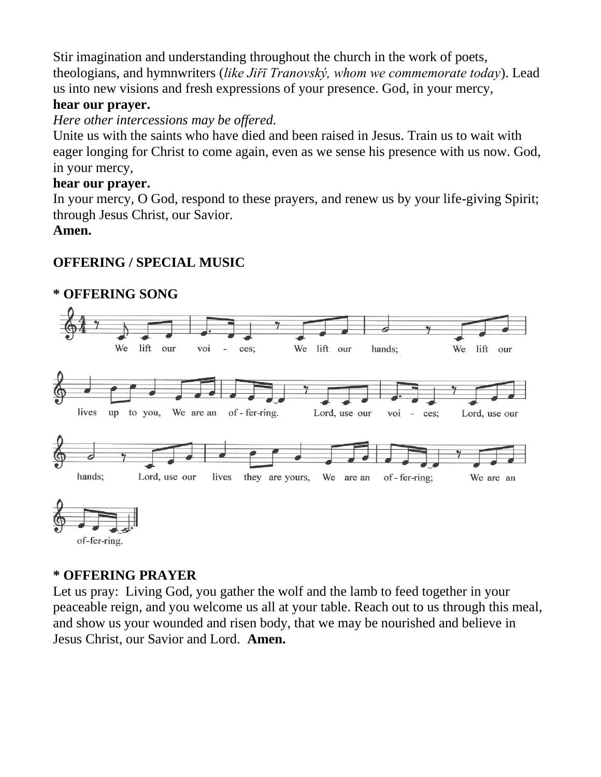Stir imagination and understanding throughout the church in the work of poets, theologians, and hymnwriters (*like Jiřī Tranovský, whom we commemorate today*). Lead us into new visions and fresh expressions of your presence. God, in your mercy,

### **hear our prayer.**

*Here other intercessions may be offered.*

Unite us with the saints who have died and been raised in Jesus. Train us to wait with eager longing for Christ to come again, even as we sense his presence with us now. God, in your mercy,

#### **hear our prayer.**

In your mercy, O God, respond to these prayers, and renew us by your life-giving Spirit; through Jesus Christ, our Savior.

#### **Amen.**

## **OFFERING / SPECIAL MUSIC**



# **\* OFFERING SONG**

## **\* OFFERING PRAYER**

Let us pray: Living God, you gather the wolf and the lamb to feed together in your peaceable reign, and you welcome us all at your table. Reach out to us through this meal, and show us your wounded and risen body, that we may be nourished and believe in Jesus Christ, our Savior and Lord. **Amen.**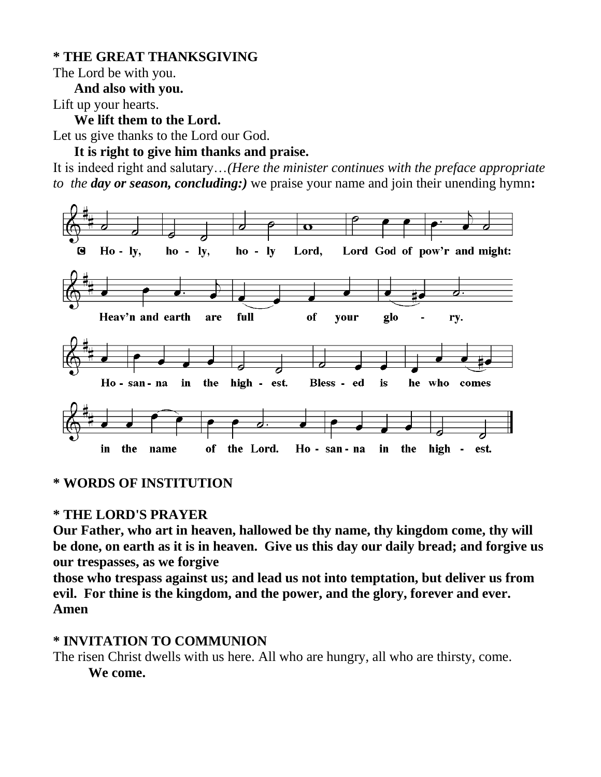### **\* THE GREAT THANKSGIVING**

The Lord be with you. **And also with you.**

Lift up your hearts.

**We lift them to the Lord.**

Let us give thanks to the Lord our God.

### **It is right to give him thanks and praise.**

It is indeed right and salutary…*(Here the minister continues with the preface appropriate to the day or season, concluding:)* we praise your name and join their unending hymn**:**



#### **\* WORDS OF INSTITUTION**

#### **\* THE LORD'S PRAYER**

**Our Father, who art in heaven, hallowed be thy name, thy kingdom come, thy will be done, on earth as it is in heaven. Give us this day our daily bread; and forgive us our trespasses, as we forgive** 

**those who trespass against us; and lead us not into temptation, but deliver us from evil. For thine is the kingdom, and the power, and the glory, forever and ever. Amen**

## **\* INVITATION TO COMMUNION**

The risen Christ dwells with us here. All who are hungry, all who are thirsty, come. **We come.**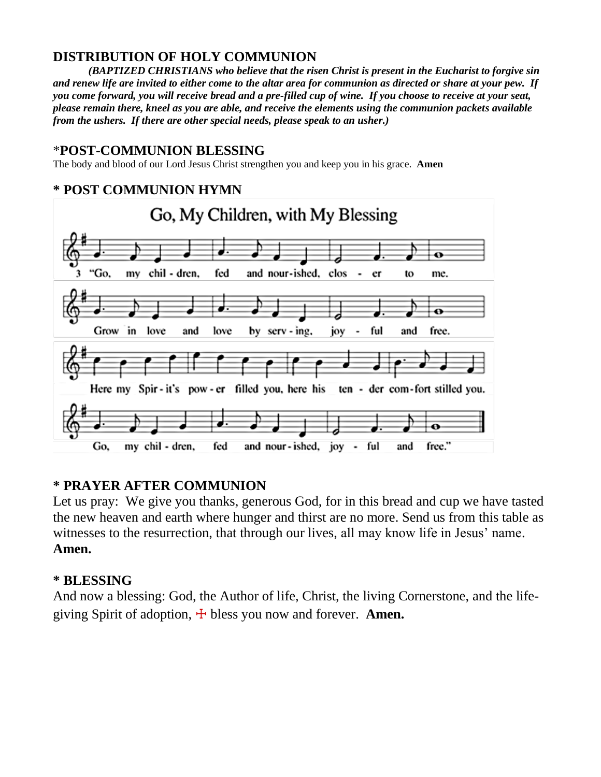### **DISTRIBUTION OF HOLY COMMUNION**

*(BAPTIZED CHRISTIANS who believe that the risen Christ is present in the Eucharist to forgive sin and renew life are invited to either come to the altar area for communion as directed or share at your pew. If you come forward, you will receive bread and a pre-filled cup of wine. If you choose to receive at your seat, please remain there, kneel as you are able, and receive the elements using the communion packets available from the ushers. If there are other special needs, please speak to an usher.)*

#### \***POST-COMMUNION BLESSING**

The body and blood of our Lord Jesus Christ strengthen you and keep you in his grace. **Amen**

## **\* POST COMMUNION HYMN**



#### **\* PRAYER AFTER COMMUNION**

Let us pray: We give you thanks, generous God, for in this bread and cup we have tasted the new heaven and earth where hunger and thirst are no more. Send us from this table as witnesses to the resurrection, that through our lives, all may know life in Jesus' name. **Amen.**

#### **\* BLESSING**

And now a blessing: God, the Author of life, Christ, the living Cornerstone, and the lifegiving Spirit of adoption,  $\pm$  bless you now and forever. **Amen.**